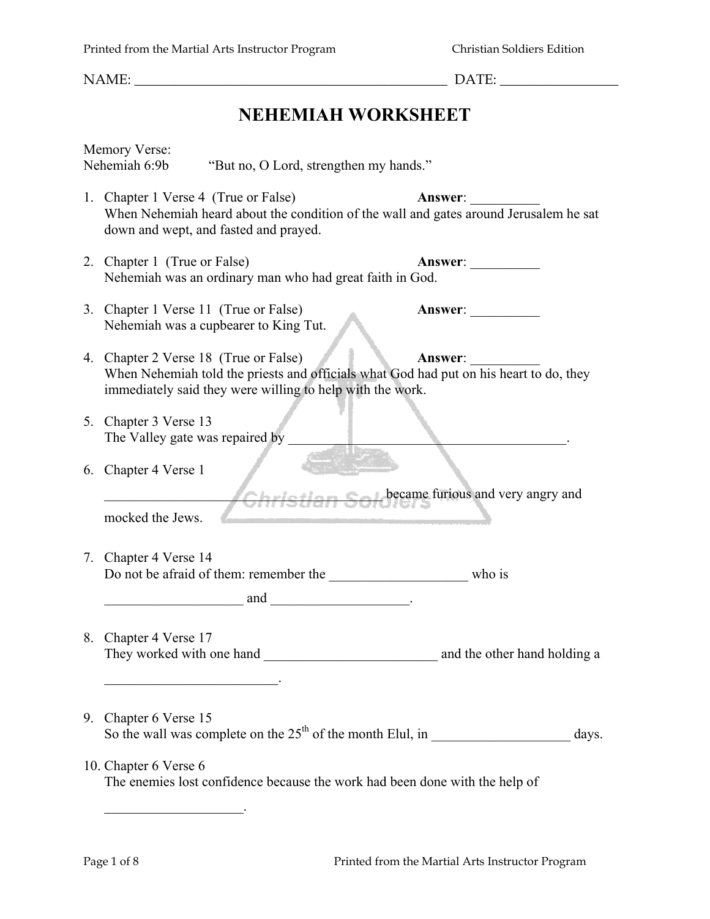## **NEHEMIAH WORKSHEET**

| <b>Memory Verse:</b><br>Nehemiah 6:9b                                                                                                                                                        | "But no, O Lord, strengthen my hands."                                      |                                                 |  |
|----------------------------------------------------------------------------------------------------------------------------------------------------------------------------------------------|-----------------------------------------------------------------------------|-------------------------------------------------|--|
| 1. Chapter 1 Verse 4 (True or False)<br><b>Answer:</b><br>When Nehemiah heard about the condition of the wall and gates around Jerusalem he sat<br>down and wept, and fasted and prayed.     |                                                                             |                                                 |  |
| 2. Chapter 1 (True or False)<br>Answer:<br>Nehemiah was an ordinary man who had great faith in God.                                                                                          |                                                                             |                                                 |  |
| 3. Chapter 1 Verse 11 (True or False)<br>Nehemiah was a cupbearer to King Tut.                                                                                                               |                                                                             | Answer:                                         |  |
| 4. Chapter 2 Verse 18 (True or False)<br>When Nehemiah told the priests and officials what God had put on his heart to do, they<br>immediately said they were willing to help with the work. |                                                                             |                                                 |  |
| 5. Chapter 3 Verse 13<br>The Valley gate was repaired by                                                                                                                                     |                                                                             |                                                 |  |
| 6. Chapter 4 Verse 1<br>mocked the Jews.                                                                                                                                                     |                                                                             | Christian Soldbecame furious and very angry and |  |
| 7. Chapter 4 Verse 14                                                                                                                                                                        |                                                                             |                                                 |  |
| 8. Chapter 4 Verse 17<br>They worked with one hand<br><u> 1989 - Johann John Stone, markin sanadi a shekara 1989 - André a Sanadi a Sanadi a Sanadi a Sanadi a Sanadi </u>                   |                                                                             | and the other hand holding a                    |  |
| 9. Chapter 6 Verse 15                                                                                                                                                                        | So the wall was complete on the $25th$ of the month Elul, in                | days.                                           |  |
| 10. Chapter 6 Verse 6                                                                                                                                                                        | The enemies lost confidence because the work had been done with the help of |                                                 |  |
|                                                                                                                                                                                              |                                                                             |                                                 |  |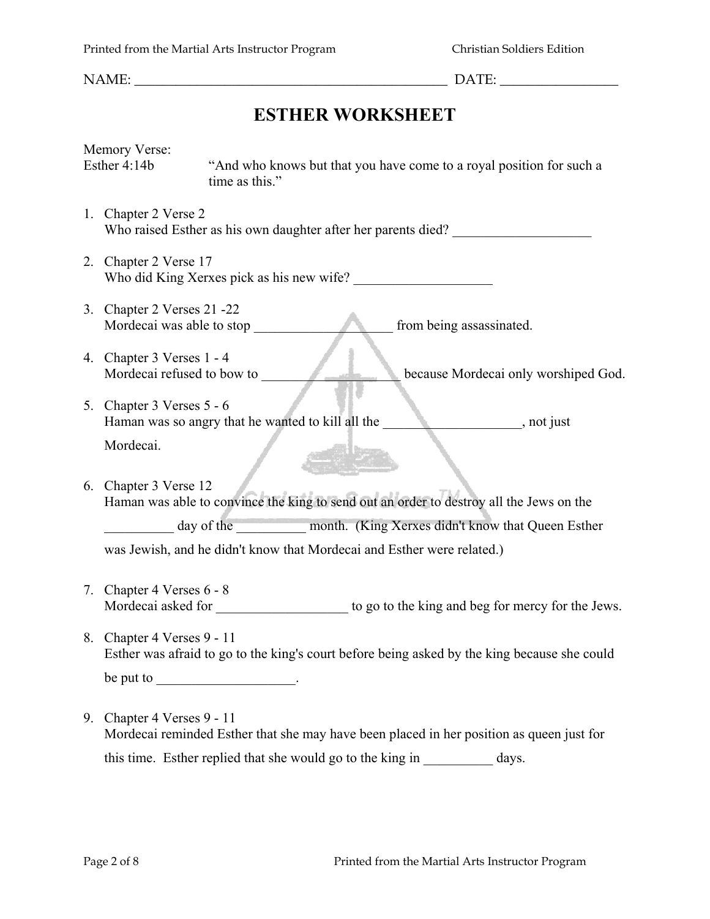NAME:  $\Box$ 

# **ESTHER WORKSHEET**

Memory Verse: Esther 4:14b "And who knows but that you have come to a royal position for such a time as this."

- 1. Chapter 2 Verse 2 Who raised Esther as his own daughter after her parents died?
- 2. Chapter 2 Verse 17 Who did King Xerxes pick as his new wife?
- 3. Chapter 2 Verses 21 -22 Mordecai was able to stop \_\_\_\_\_\_\_\_\_\_\_\_\_\_\_\_\_\_\_\_ from being assassinated.
- 4. Chapter 3 Verses 1 4<br>Mordecai refused to bow to Mordecai only worshiped God.
- 5. Chapter 3 Verses 5 6 Haman was so angry that he wanted to kill all the \_\_\_\_\_\_\_\_\_\_\_\_\_\_\_\_\_\_, not just Mordecai.
- 6. Chapter 3 Verse 12 Haman was able to convince the king to send out an order to destroy all the Jews on the day of the month. (King Xerxes didn't know that Queen Esther

was Jewish, and he didn't know that Mordecai and Esther were related.)

- 7. Chapter 4 Verses 6 8 Mordecai asked for the state of the king and beg for mercy for the Jews.
- 8. Chapter 4 Verses 9 11 Esther was afraid to go to the king's court before being asked by the king because she could be put to  $\qquad \qquad$
- 9. Chapter 4 Verses 9 11 Mordecai reminded Esther that she may have been placed in her position as queen just for this time. Esther replied that she would go to the king in \_\_\_\_\_\_\_\_\_\_ days.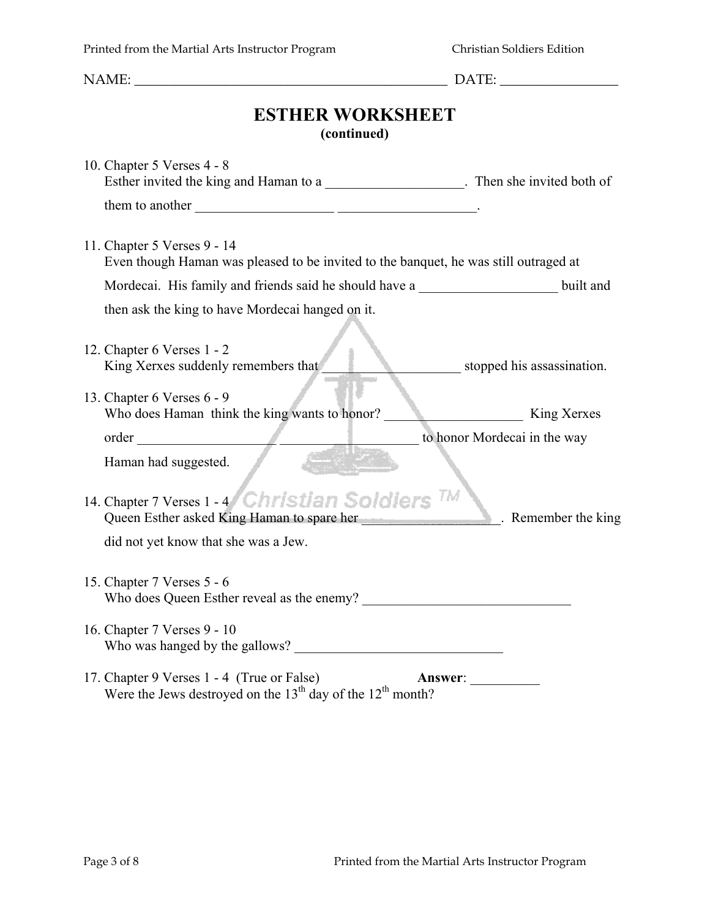#### **(continued)**

| 10. Chapter 5 Verses 4 - 8<br>Esther invited the king and Haman to a ______________________. Then she invited both of      |                              |
|----------------------------------------------------------------------------------------------------------------------------|------------------------------|
|                                                                                                                            |                              |
| 11. Chapter 5 Verses 9 - 14<br>Even though Haman was pleased to be invited to the banquet, he was still outraged at        |                              |
| Mordecai. His family and friends said he should have a built and                                                           |                              |
| then ask the king to have Mordecai hanged on it.                                                                           |                              |
| 12. Chapter 6 Verses 1 - 2<br>King Xerxes suddenly remembers that                                                          | stopped his assassination.   |
| 13. Chapter 6 Verses 6 - 9<br>Who does Haman think the king wants to honor?                                                | King Xerxes                  |
| order                                                                                                                      | to honor Mordecai in the way |
| Haman had suggested.<br>14. Chapter 7 Verses $1 - 4$ Christian Soldiers $TM$<br>Queen Esther asked King Haman to spare her | Remember the king            |
| did not yet know that she was a Jew.                                                                                       |                              |
| 15. Chapter 7 Verses 5 - 6<br>Who does Queen Esther reveal as the enemy?                                                   |                              |
| 16. Chapter 7 Verses 9 - 10<br>Who was hanged by the gallows?                                                              |                              |
| 17. Chapter 9 Verses 1 - 4 (True or False)<br>Answer:<br>Were the Jews destroyed on the $13th$ day of the $12th$ month?    |                              |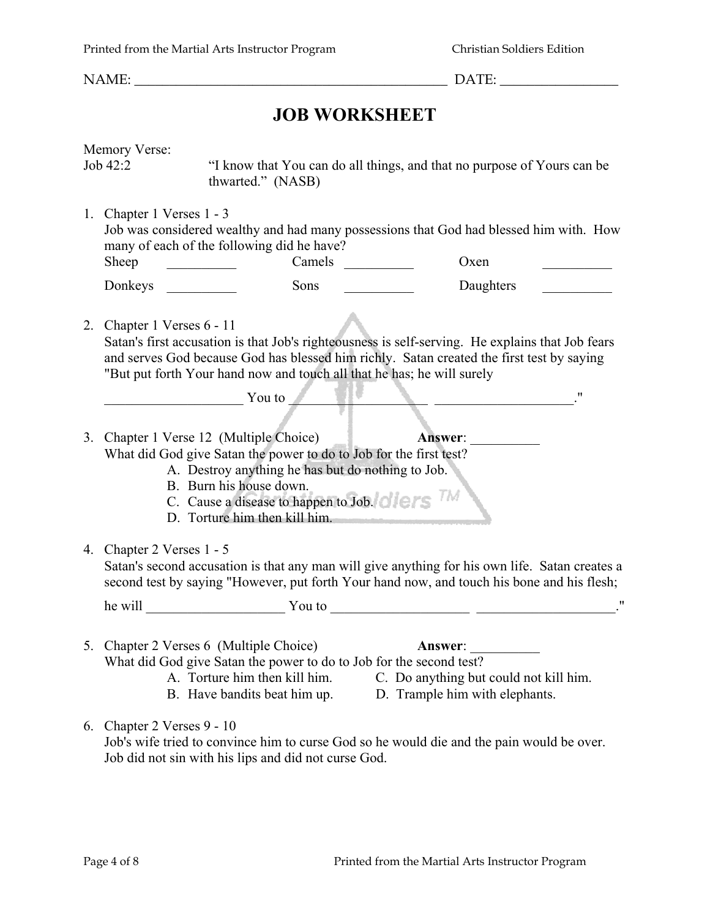## **JOB WORKSHEET**

| Memory Verse:<br>Job 42:2                                                                                                                                                                                                                                                                             | thwarted." (NASB)                                                                                                                                                               | "I know that You can do all things, and that no purpose of Yours can be                                                                                                                                                        |  |
|-------------------------------------------------------------------------------------------------------------------------------------------------------------------------------------------------------------------------------------------------------------------------------------------------------|---------------------------------------------------------------------------------------------------------------------------------------------------------------------------------|--------------------------------------------------------------------------------------------------------------------------------------------------------------------------------------------------------------------------------|--|
| 1. Chapter 1 Verses 1 - 3<br>Sheep                                                                                                                                                                                                                                                                    | many of each of the following did he have?<br>Camels                                                                                                                            | Job was considered wealthy and had many possessions that God had blessed him with. How<br>Oxen                                                                                                                                 |  |
| Donkeys                                                                                                                                                                                                                                                                                               | Sons                                                                                                                                                                            | Daughters                                                                                                                                                                                                                      |  |
| 2. Chapter 1 Verses 6 - 11<br>Satan's first accusation is that Job's righteousness is self-serving. He explains that Job fears<br>and serves God because God has blessed him richly. Satan created the first test by saying<br>"But put forth Your hand now and touch all that he has; he will surely |                                                                                                                                                                                 |                                                                                                                                                                                                                                |  |
|                                                                                                                                                                                                                                                                                                       | <b>Example 2</b> You to                                                                                                                                                         | 11                                                                                                                                                                                                                             |  |
| 3. Chapter 1 Verse 12 (Multiple Choice)<br><b>Answer:</b><br>What did God give Satan the power to do to Job for the first test?<br>A. Destroy anything he has but do nothing to Job.<br>B. Burn his house down.<br>C. Cause a disease to happen to Job. One of the<br>D. Torture him then kill him.   |                                                                                                                                                                                 |                                                                                                                                                                                                                                |  |
| 4. Chapter 2 Verses 1 - 5<br>Satan's second accusation is that any man will give anything for his own life. Satan creates a<br>second test by saying "However, put forth Your hand now, and touch his bone and his flesh;                                                                             |                                                                                                                                                                                 |                                                                                                                                                                                                                                |  |
|                                                                                                                                                                                                                                                                                                       |                                                                                                                                                                                 | he will value of You to value of You to value of the will value of You to value of You to value of the state of the state of the state of the state of the state of the state of the state of the state of the state of the st |  |
|                                                                                                                                                                                                                                                                                                       | 5. Chapter 2 Verses 6 (Multiple Choice)<br>What did God give Satan the power to do to Job for the second test?<br>A. Torture him then kill him.<br>B. Have bandits beat him up. | <b>Answer:</b><br>C. Do anything but could not kill him.<br>D. Trample him with elephants.                                                                                                                                     |  |
| 6. Chapter 2 Verses 9 - 10                                                                                                                                                                                                                                                                            |                                                                                                                                                                                 | Job's wife tried to convince him to curse God so he would die and the pain would be over.                                                                                                                                      |  |

Job did not sin with his lips and did not curse God.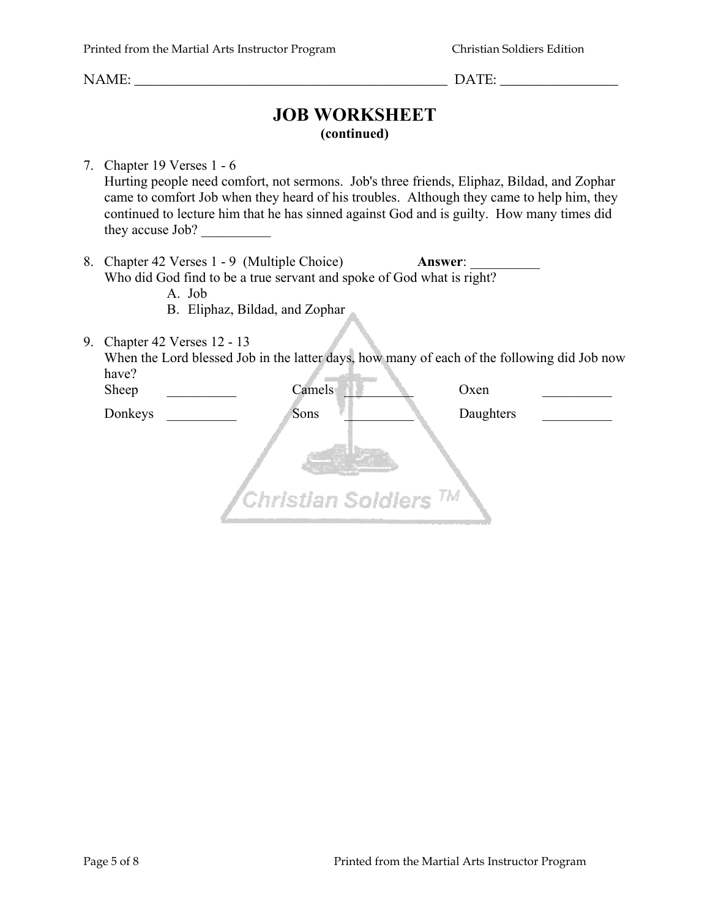### **JOB WORKSHEET (continued)**

7. Chapter 19 Verses 1 - 6 Hurting people need comfort, not sermons. Job's three friends, Eliphaz, Bildad, and Zophar came to comfort Job when they heard of his troubles. Although they came to help him, they continued to lecture him that he has sinned against God and is guilty. How many times did they accuse Job? \_\_\_\_\_\_\_\_\_\_

8. Chapter 42 Verses 1 - 9 (Multiple Choice) **Answer**: Who did God find to be a true servant and spoke of God what is right?

A. Job

- B. Eliphaz, Bildad, and Zophar
- 9. Chapter 42 Verses 12 13

When the Lord blessed Job in the latter days, how many of each of the following did Job now *Communication* have?

| Sheep   | Camels <sup>®</sup>                                            | Oxen      |
|---------|----------------------------------------------------------------|-----------|
| Donkeys | Sons                                                           | Daughters |
|         | ${}^{\prime}$ Christian Soldiers ${}^{\prime\prime\prime}{}^M$ |           |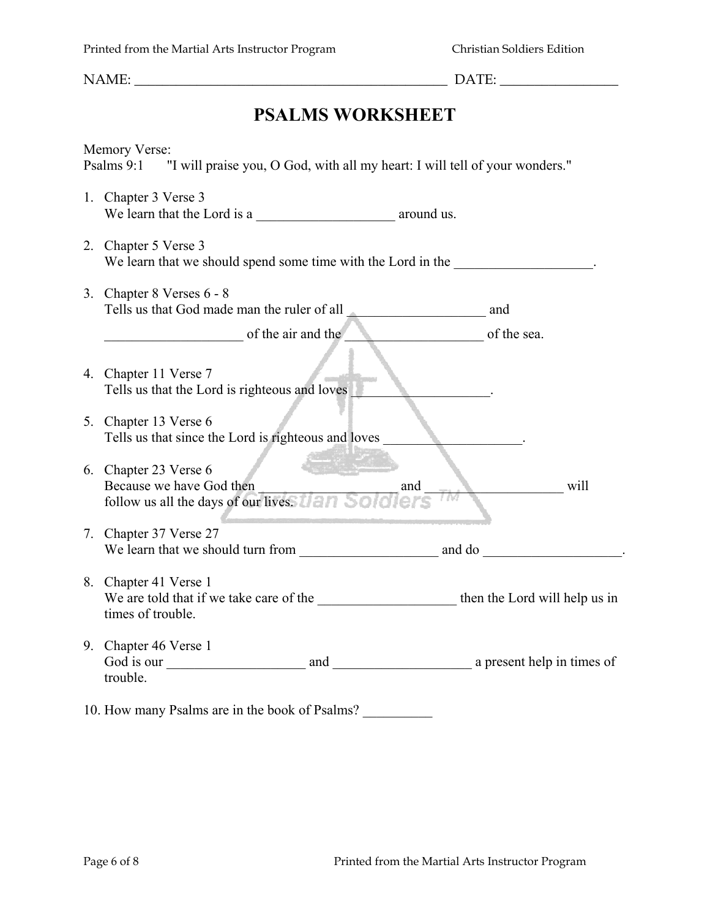# **PSALMS WORKSHEET**

|    | Memory Verse:<br>Psalms 9:1 "I will praise you, O God, with all my heart: I will tell of your wonders." |
|----|---------------------------------------------------------------------------------------------------------|
|    |                                                                                                         |
|    | 1. Chapter 3 Verse 3                                                                                    |
|    |                                                                                                         |
| 2. | Chapter 5 Verse 3                                                                                       |
|    | We learn that we should spend some time with the Lord in the                                            |
|    | 3. Chapter 8 Verses 6 - 8                                                                               |
|    |                                                                                                         |
|    | of the air and the<br>of the sea.                                                                       |
|    |                                                                                                         |
|    | 4. Chapter 11 Verse 7                                                                                   |
|    | Tells us that the Lord is righteous and loves                                                           |
|    | 5. Chapter 13 Verse 6                                                                                   |
|    | Tells us that since the Lord is righteous and loves                                                     |
|    | 6. Chapter 23 Verse 6                                                                                   |
|    | Because we have God then<br>will<br>and                                                                 |
|    | follow us all the days of our livess tian Solo<br>1 N 3                                                 |
|    | 7. Chapter 37 Verse 27                                                                                  |
|    | We learn that we should turn from and do                                                                |
|    |                                                                                                         |
| 8. | Chapter 41 Verse 1                                                                                      |
|    | times of trouble.                                                                                       |
|    | 9. Chapter 46 Verse 1                                                                                   |
|    |                                                                                                         |
|    | trouble.                                                                                                |
|    | 10. How many Psalms are in the book of Psalms?                                                          |
|    |                                                                                                         |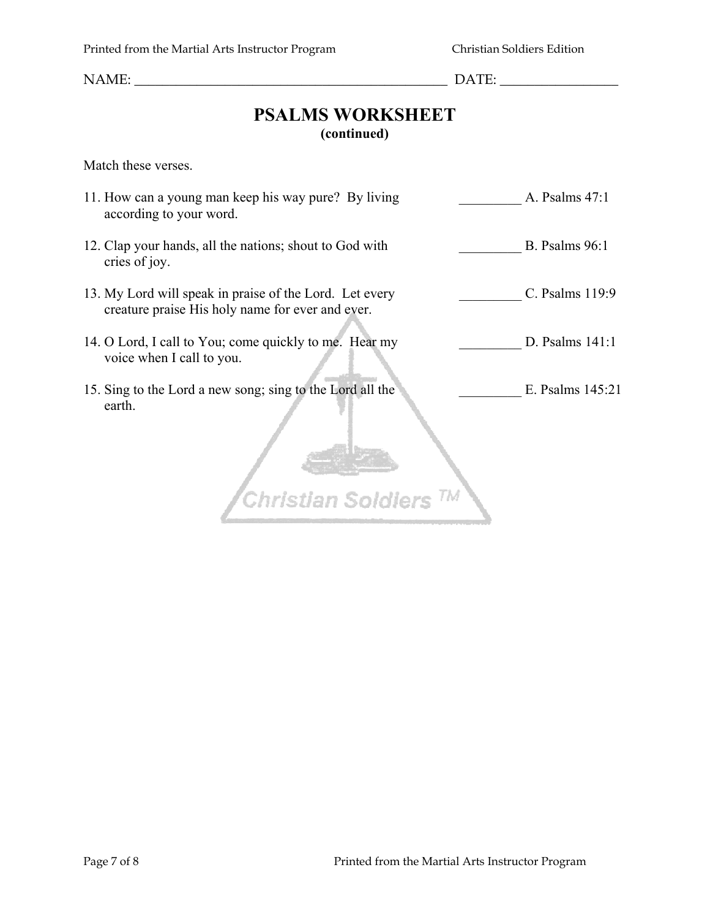## **PSALMS WORKSHEET (continued)**

Match these verses.

- 11. How can a young man keep his way pure? By living A. Psalms 47:1 according to your word.
- 12. Clap your hands, all the nations; shout to God with B. Psalms 96:1 cries of joy.
- 13. My Lord will speak in praise of the Lord. Let every C. Psalms 119:9 creature praise His holy name for ever and ever.
- 14. O Lord, I call to You; come quickly to me. Hear my D. Psalms 141:1 voice when I call to you.
- 15. Sing to the Lord a new song; sing to the Lord all the E. Psalms 145:21 earth.

Christian Soldiers<sup>TM</sup>